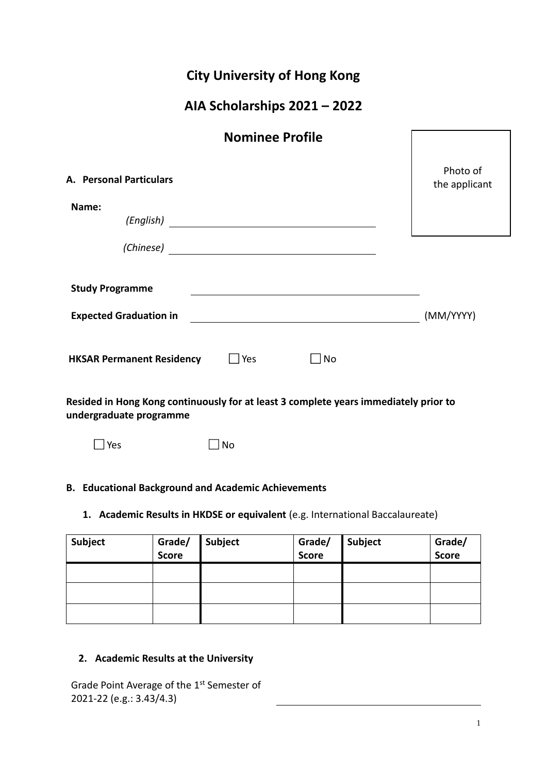|  | <b>City University of Hong Kong</b> |  |  |
|--|-------------------------------------|--|--|
|--|-------------------------------------|--|--|

# **AIA Scholarships 2021 – 2022**

| <b>Nominee Profile</b>                                                                                                            |                           |
|-----------------------------------------------------------------------------------------------------------------------------------|---------------------------|
| <b>A. Personal Particulars</b>                                                                                                    | Photo of<br>the applicant |
| Name:<br>(English)                                                                                                                |                           |
| (Chinese)<br><u> 1989 - Johann Stein, fransk kampens og den forskellige og det forskellige og det forskellige og det forskell</u> |                           |
| <b>Study Programme</b>                                                                                                            |                           |
| <b>Expected Graduation in</b>                                                                                                     | (MM/YYYY)                 |
| Yes<br><b>HKSAR Permanent Residency</b><br>No                                                                                     |                           |

**Resided in Hong Kong continuously for at least 3 complete years immediately prior to undergraduate programme** 

⃞ Yes⃞ No

# **B. Educational Background and Academic Achievements**

# **1. Academic Results in HKDSE or equivalent** (e.g. International Baccalaureate)

| Subject | Grade/<br><b>Score</b> | Subject | Grade/<br><b>Score</b> | Subject | Grade/<br><b>Score</b> |
|---------|------------------------|---------|------------------------|---------|------------------------|
|         |                        |         |                        |         |                        |
|         |                        |         |                        |         |                        |
|         |                        |         |                        |         |                        |

# **2. Academic Results at the University**

Grade Point Average of the 1<sup>st</sup> Semester of 2021-22 (e.g.: 3.43/4.3)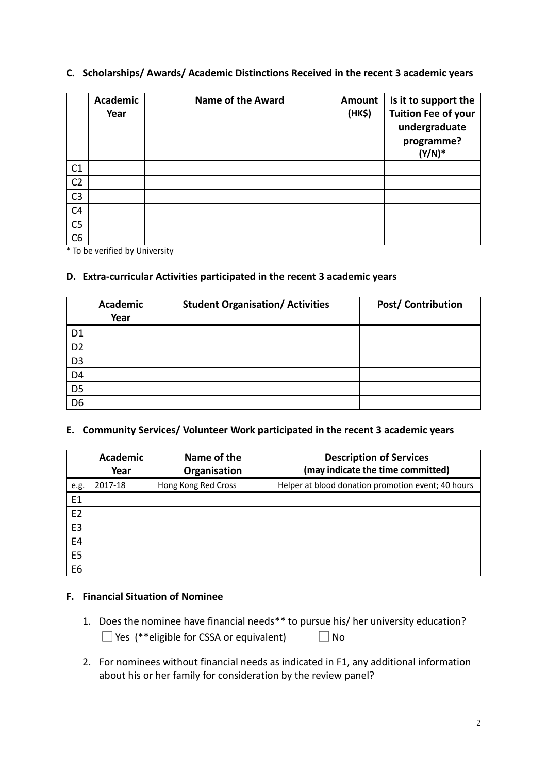# **C. Scholarships/ Awards/ Academic Distinctions Received in the recent 3 academic years**

|                | Academic<br>Year | <b>Name of the Award</b> | Amount<br>(HK\$) | Is it to support the<br><b>Tuition Fee of your</b><br>undergraduate<br>programme?<br>$(Y/N)^*$ |
|----------------|------------------|--------------------------|------------------|------------------------------------------------------------------------------------------------|
| C1             |                  |                          |                  |                                                                                                |
| C <sub>2</sub> |                  |                          |                  |                                                                                                |
| C <sub>3</sub> |                  |                          |                  |                                                                                                |
| C <sub>4</sub> |                  |                          |                  |                                                                                                |
| C <sub>5</sub> |                  |                          |                  |                                                                                                |
| C6             |                  |                          |                  |                                                                                                |

\* To be verified by University

# **D. Extra-curricular Activities participated in the recent 3 academic years**

|                | <b>Academic</b><br>Year | <b>Student Organisation/ Activities</b> | Post/ Contribution |
|----------------|-------------------------|-----------------------------------------|--------------------|
| D <sub>1</sub> |                         |                                         |                    |
| D <sub>2</sub> |                         |                                         |                    |
| D <sub>3</sub> |                         |                                         |                    |
| D <sub>4</sub> |                         |                                         |                    |
| D <sub>5</sub> |                         |                                         |                    |
| D <sub>6</sub> |                         |                                         |                    |

#### **E. Community Services/ Volunteer Work participated in the recent 3 academic years**

|                | <b>Academic</b><br>Year | Name of the<br>Organisation | <b>Description of Services</b><br>(may indicate the time committed) |
|----------------|-------------------------|-----------------------------|---------------------------------------------------------------------|
| e.g.           | 2017-18                 | Hong Kong Red Cross         | Helper at blood donation promotion event; 40 hours                  |
| E1             |                         |                             |                                                                     |
| E <sub>2</sub> |                         |                             |                                                                     |
| E <sub>3</sub> |                         |                             |                                                                     |
| E4             |                         |                             |                                                                     |
| E <sub>5</sub> |                         |                             |                                                                     |
| E6             |                         |                             |                                                                     |

#### **F. Financial Situation of Nominee**

- 1. Does the nominee have financial needs\*\* to pursue his/ her university education?  $\Box$  Yes (\*\*eligible for CSSA or equivalent)  $\Box$  No
- 2. For nominees without financial needs as indicated in F1, any additional information about his or her family for consideration by the review panel?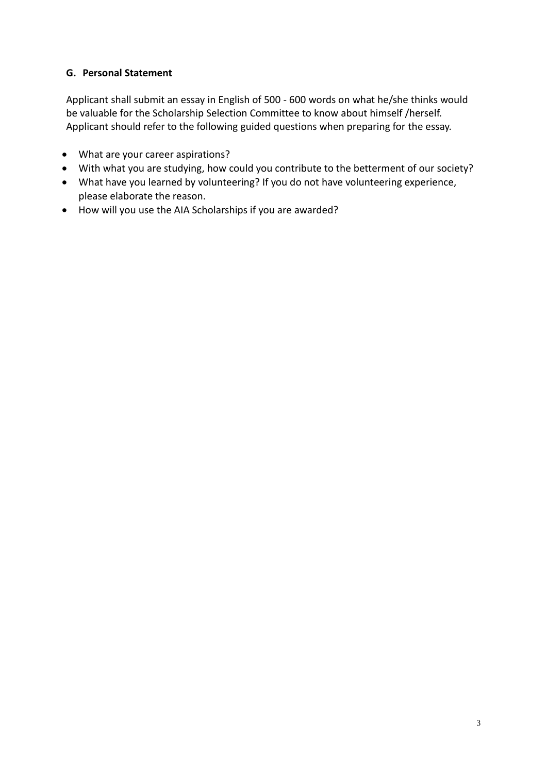# **G. Personal Statement**

Applicant shall submit an essay in English of 500 - 600 words on what he/she thinks would be valuable for the Scholarship Selection Committee to know about himself /herself. Applicant should refer to the following guided questions when preparing for the essay.

- What are your career aspirations?
- With what you are studying, how could you contribute to the betterment of our society?
- What have you learned by volunteering? If you do not have volunteering experience, please elaborate the reason.
- How will you use the AIA Scholarships if you are awarded?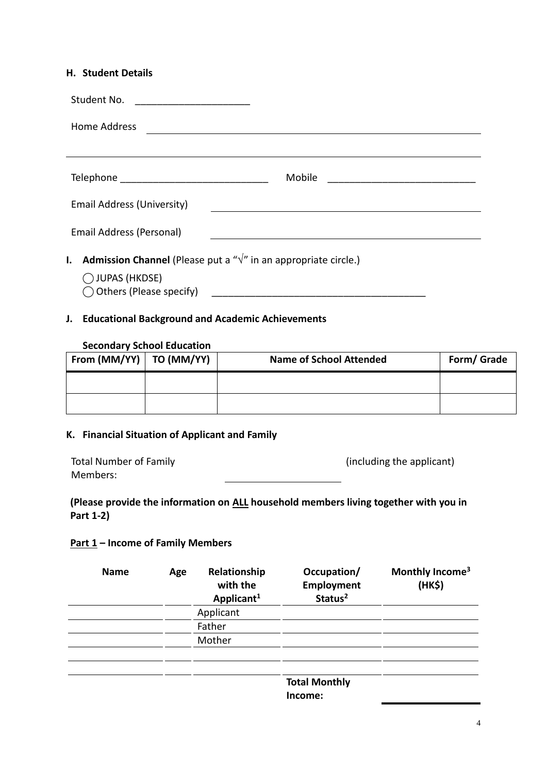#### **H. Student Details**

| Student No. <u>________________</u>                                                                                                |                                                           |
|------------------------------------------------------------------------------------------------------------------------------------|-----------------------------------------------------------|
| <b>Home Address</b>                                                                                                                | <u> 1989 - Johann Barnett, fransk politiker (d. 1989)</u> |
|                                                                                                                                    |                                                           |
|                                                                                                                                    | <b>Mobile</b>                                             |
| Email Address (University)                                                                                                         |                                                           |
| Email Address (Personal)                                                                                                           |                                                           |
| <b>Admission Channel</b> (Please put a " $\sqrt{n}$ in an appropriate circle.)<br>I.<br>◯ JUPAS (HKDSE)<br>Others (Please specify) |                                                           |

# **J. Educational Background and Academic Achievements**

#### **Secondary School Education**

| From $(MM/YY)$   TO $(MM/YY)$ | <b>Name of School Attended</b> | Form/ Grade |
|-------------------------------|--------------------------------|-------------|
|                               |                                |             |
|                               |                                |             |

# **K. Financial Situation of Applicant and Family**

| <b>Total Number of Family</b> | (including the applicant) |
|-------------------------------|---------------------------|
| Members:                      |                           |

# **(Please provide the information on ALL household members living together with you in Part 1-2)**

# **Part 1 – Income of Family Members**

| <b>Name</b> | Age | Relationship<br>with the<br>Applicant <sup>1</sup> | Occupation/<br>Employment<br>Status <sup>2</sup> | Monthly Income <sup>3</sup><br>(HK\$) |
|-------------|-----|----------------------------------------------------|--------------------------------------------------|---------------------------------------|
|             |     | Applicant                                          |                                                  |                                       |
|             |     | Father                                             |                                                  |                                       |
|             |     | Mother                                             |                                                  |                                       |
|             |     |                                                    |                                                  |                                       |
|             |     |                                                    | <b>Total Monthly</b><br>Income:                  |                                       |